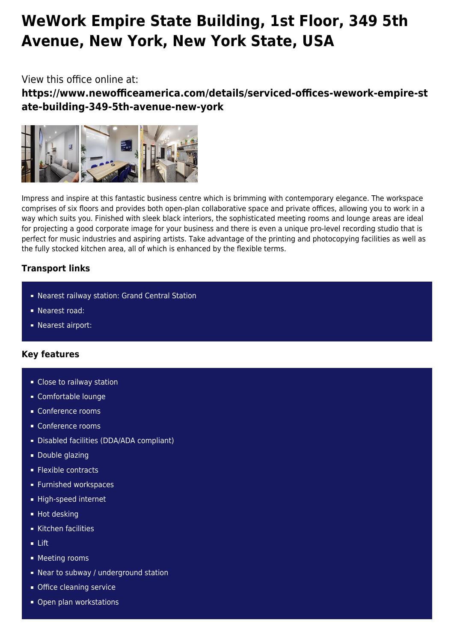# **WeWork Empire State Building, 1st Floor, 349 5th Avenue, New York, New York State, USA**

## View this office online at:

**https://www.newofficeamerica.com/details/serviced-offices-wework-empire-st ate-building-349-5th-avenue-new-york**



Impress and inspire at this fantastic business centre which is brimming with contemporary elegance. The workspace comprises of six floors and provides both open-plan collaborative space and private offices, allowing you to work in a way which suits you. Finished with sleek black interiors, the sophisticated meeting rooms and lounge areas are ideal for projecting a good corporate image for your business and there is even a unique pro-level recording studio that is perfect for music industries and aspiring artists. Take advantage of the printing and photocopying facilities as well as the fully stocked kitchen area, all of which is enhanced by the flexible terms.

### **Transport links**

- Nearest railway station: Grand Central Station
- Nearest road:
- **Nearest airport:**

### **Key features**

- **Close to railway station**
- Comfortable lounge
- Conference rooms
- Conference rooms
- Disabled facilities (DDA/ADA compliant)
- **Double glazing**
- **Flexible contracts**
- **Furnished workspaces**
- High-speed internet
- **Hot desking**
- Kitchen facilities
- Lift
- **Meeting rooms**
- **Near to subway / underground station**
- **Office cleaning service**
- Open plan workstations